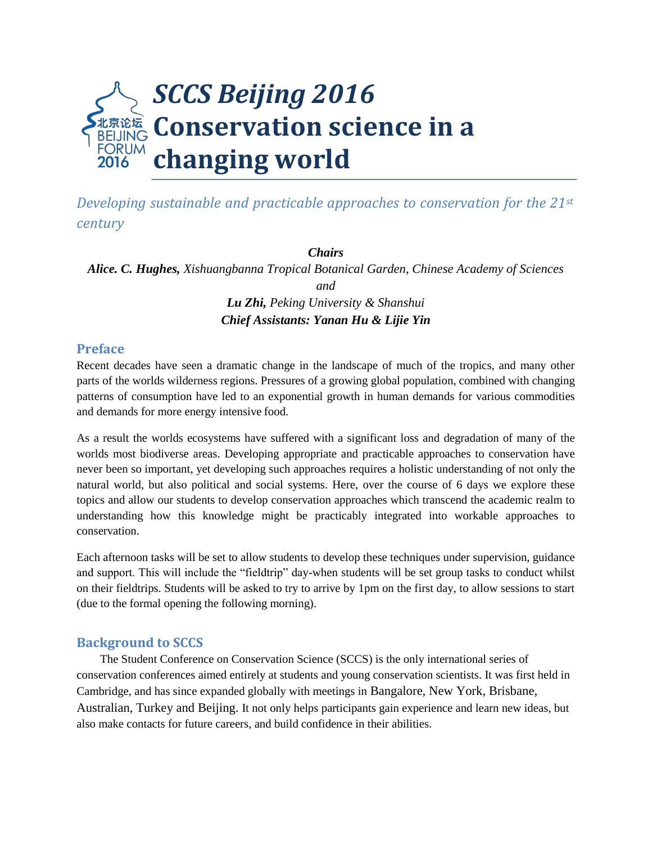

*Developing sustainable and practicable approaches to conservation for the 21st century*

*Chairs Alice. C. Hughes, Xishuangbanna Tropical Botanical Garden, Chinese Academy of Sciences and Lu Zhi, Peking University & Shanshui Chief Assistants: Yanan Hu & Lijie Yin*

#### **Preface**

Recent decades have seen a dramatic change in the landscape of much of the tropics, and many other parts of the worlds wilderness regions. Pressures of a growing global population, combined with changing patterns of consumption have led to an exponential growth in human demands for various commodities and demands for more energy intensive food.

As a result the worlds ecosystems have suffered with a significant loss and degradation of many of the worlds most biodiverse areas. Developing appropriate and practicable approaches to conservation have never been so important, yet developing such approaches requires a holistic understanding of not only the natural world, but also political and social systems. Here, over the course of 6 days we explore these topics and allow our students to develop conservation approaches which transcend the academic realm to understanding how this knowledge might be practicably integrated into workable approaches to conservation.

Each afternoon tasks will be set to allow students to develop these techniques under supervision, guidance and support. This will include the "fieldtrip" day-when students will be set group tasks to conduct whilst on their fieldtrips. Students will be asked to try to arrive by 1pm on the first day, to allow sessions to start (due to the formal opening the following morning).

#### **Background to SCCS**

The Student Conference on Conservation Science (SCCS) is the only international series of conservation conferences aimed entirely at students and young conservation scientists. It was first held in Cambridge, and has since expanded globally with meetings in Bangalore, New York, Brisbane, Australian, Turkey and Beijing. It not only helps participants gain experience and learn new ideas, but also make contacts for future careers, and build confidence in their abilities.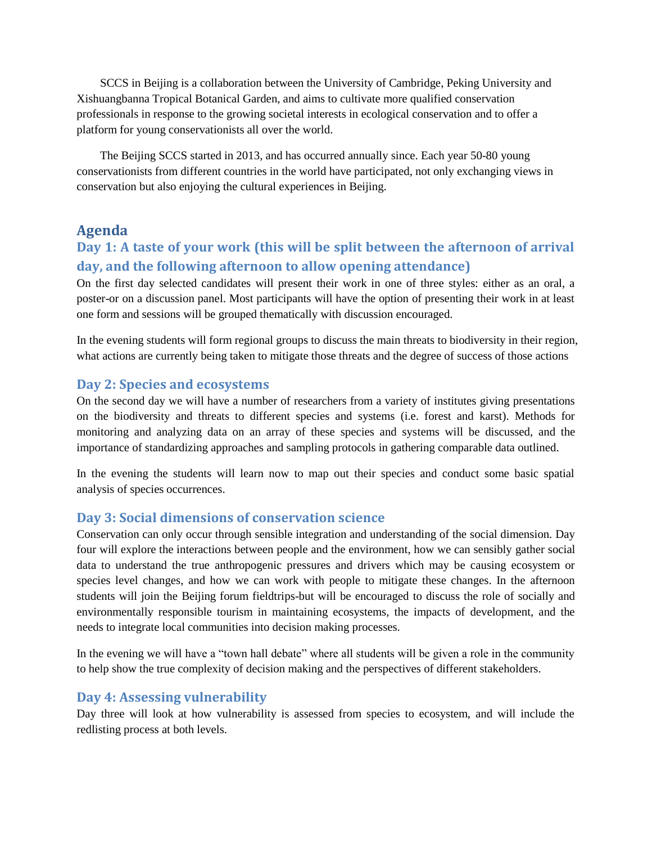SCCS in Beijing is a collaboration between the University of Cambridge, Peking University and Xishuangbanna Tropical Botanical Garden, and aims to cultivate more qualified conservation professionals in response to the growing societal interests in ecological conservation and to offer a platform for young conservationists all over the world.

The Beijing SCCS started in 2013, and has occurred annually since. Each year 50-80 young conservationists from different countries in the world have participated, not only exchanging views in conservation but also enjoying the cultural experiences in Beijing.

### **Agenda**

# **Day 1: A taste of your work (this will be split between the afternoon of arrival day, and the following afternoon to allow opening attendance)**

On the first day selected candidates will present their work in one of three styles: either as an oral, a poster-or on a discussion panel. Most participants will have the option of presenting their work in at least one form and sessions will be grouped thematically with discussion encouraged.

In the evening students will form regional groups to discuss the main threats to biodiversity in their region, what actions are currently being taken to mitigate those threats and the degree of success of those actions

### **Day 2: Species and ecosystems**

On the second day we will have a number of researchers from a variety of institutes giving presentations on the biodiversity and threats to different species and systems (i.e. forest and karst). Methods for monitoring and analyzing data on an array of these species and systems will be discussed, and the importance of standardizing approaches and sampling protocols in gathering comparable data outlined.

In the evening the students will learn now to map out their species and conduct some basic spatial analysis of species occurrences.

### **Day 3: Social dimensions of conservation science**

Conservation can only occur through sensible integration and understanding of the social dimension. Day four will explore the interactions between people and the environment, how we can sensibly gather social data to understand the true anthropogenic pressures and drivers which may be causing ecosystem or species level changes, and how we can work with people to mitigate these changes. In the afternoon students will join the Beijing forum fieldtrips-but will be encouraged to discuss the role of socially and environmentally responsible tourism in maintaining ecosystems, the impacts of development, and the needs to integrate local communities into decision making processes.

In the evening we will have a "town hall debate" where all students will be given a role in the community to help show the true complexity of decision making and the perspectives of different stakeholders.

### **Day 4: Assessing vulnerability**

Day three will look at how vulnerability is assessed from species to ecosystem, and will include the redlisting process at both levels.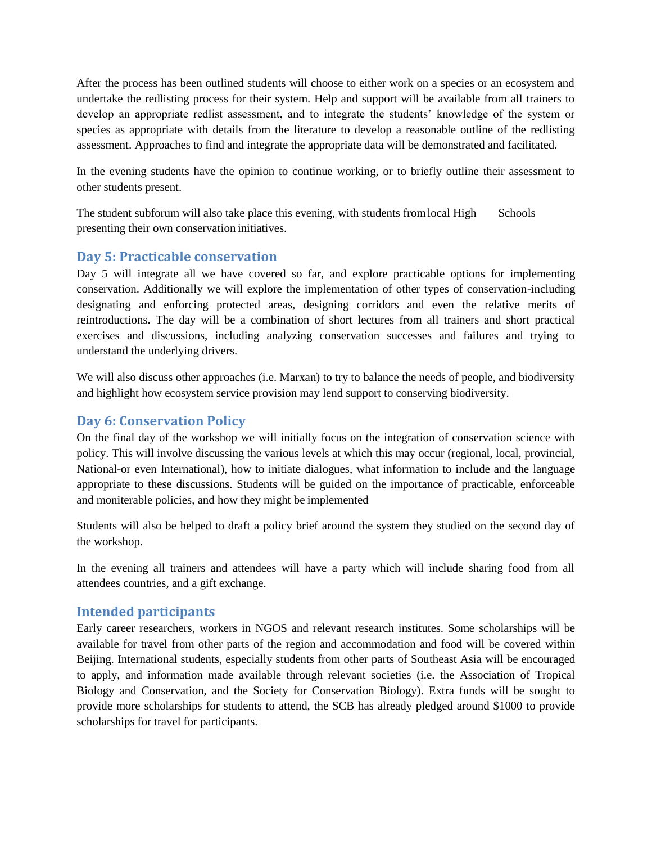After the process has been outlined students will choose to either work on a species or an ecosystem and undertake the redlisting process for their system. Help and support will be available from all trainers to develop an appropriate redlist assessment, and to integrate the students' knowledge of the system or species as appropriate with details from the literature to develop a reasonable outline of the redlisting assessment. Approaches to find and integrate the appropriate data will be demonstrated and facilitated.

In the evening students have the opinion to continue working, or to briefly outline their assessment to other students present.

The student subforum will also take place this evening, with students from local High Schools presenting their own conservation initiatives.

### **Day 5: Practicable conservation**

Day 5 will integrate all we have covered so far, and explore practicable options for implementing conservation. Additionally we will explore the implementation of other types of conservation-including designating and enforcing protected areas, designing corridors and even the relative merits of reintroductions. The day will be a combination of short lectures from all trainers and short practical exercises and discussions, including analyzing conservation successes and failures and trying to understand the underlying drivers.

We will also discuss other approaches (i.e. Marxan) to try to balance the needs of people, and biodiversity and highlight how ecosystem service provision may lend support to conserving biodiversity.

### **Day 6: Conservation Policy**

On the final day of the workshop we will initially focus on the integration of conservation science with policy. This will involve discussing the various levels at which this may occur (regional, local, provincial, National-or even International), how to initiate dialogues, what information to include and the language appropriate to these discussions. Students will be guided on the importance of practicable, enforceable and moniterable policies, and how they might be implemented

Students will also be helped to draft a policy brief around the system they studied on the second day of the workshop.

In the evening all trainers and attendees will have a party which will include sharing food from all attendees countries, and a gift exchange.

### **Intended participants**

Early career researchers, workers in NGOS and relevant research institutes. Some scholarships will be available for travel from other parts of the region and accommodation and food will be covered within Beijing. International students, especially students from other parts of Southeast Asia will be encouraged to apply, and information made available through relevant societies (i.e. the Association of Tropical Biology and Conservation, and the Society for Conservation Biology). Extra funds will be sought to provide more scholarships for students to attend, the SCB has already pledged around \$1000 to provide scholarships for travel for participants.